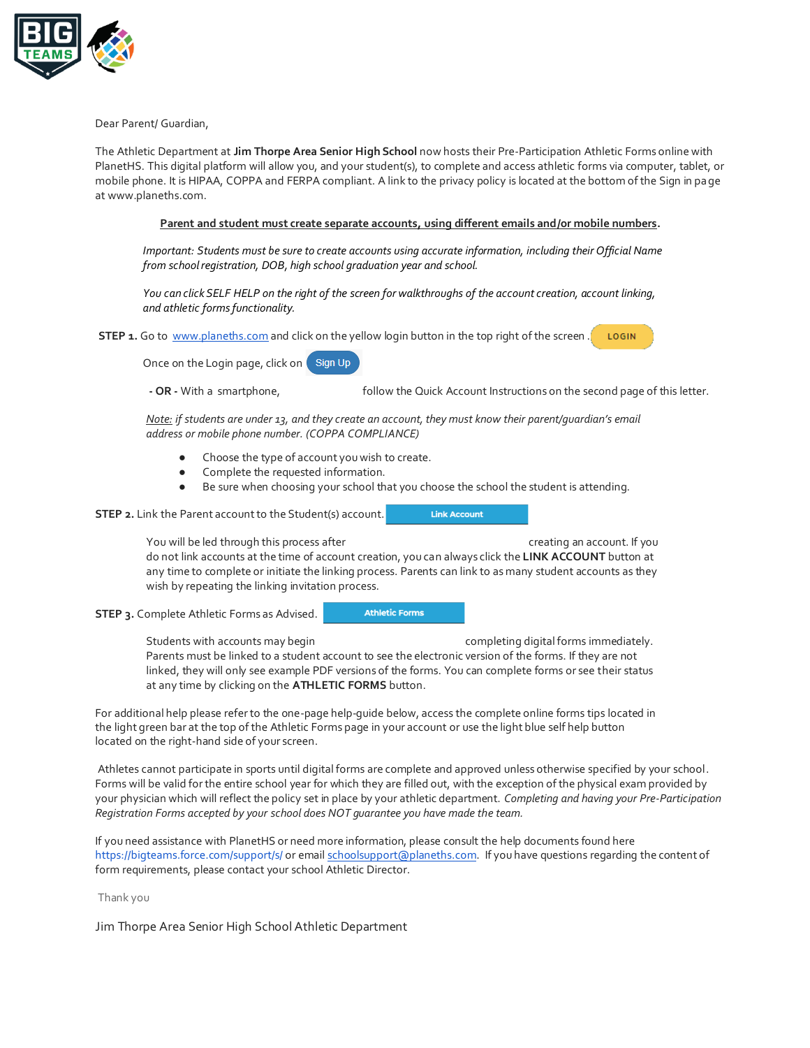

Dear Parent/ Guardian,

The Athletic Department at **Jim Thorpe Area Senior High School** now hosts their Pre-Participation Athletic Forms online with PlanetHS. This digital platform will allow you, and your student(s), to complete and access athletic forms via computer, tablet, or mobile phone. It is HIPAA, COPPA and FERPA compliant. A link to the privacy policy is located at the bottom of the Sign in page at www.planeths.com.

## **Parent and student must create separate accounts, using different emails and/or mobile numbers.**

*Important: Students must be sure to create accounts using accurate information, including their Official Name from school registration, DOB, high school graduation year and school.* 

*You can click SELF HELP on the right of the screen for walkthroughs of the account creation, account linking, and athletic forms functionality.*

**STEP 1.** Go to [www.planeths.com](https://www.planeths.com/) and click on the yellow login button in the top right of the screen. LOGIN

Once on the Login page, click on Sign Up

**- OR -** With a smartphone, follow the Quick Account Instructions on the second page of this letter.

**Link Account** 

*Note: if students are under 13, and they create an account, they must know their parent/guardian's email address or mobile phone number. (COPPA COMPLIANCE)*

- Choose the type of account you wish to create.
- Complete the requested information.
- Be sure when choosing your school that you choose the school the student is attending.

**STEP 2.** Link the Parent account to the Student(s) account.

You will be led through this process after creation of the creating an account. If you do not link accounts at the time of account creation, you can always click the **LINK ACCOUNT** button at any time to complete or initiate the linking process. Parents can link to as many student accounts as they wish by repeating the linking invitation process.

**STEP 3.** Complete Athletic Forms as Advised.

**Athletic Forms** 

Students with accounts may begin example that completing digital forms immediately. Parents must be linked to a student account to see the electronic version of the forms. If they are not linked, they will only see example PDF versions of the forms. You can complete forms or see their status at any time by clicking on the **ATHLETIC FORMS** button.

For additional help please refer to the one-page help-guide below, access the complete online forms tips located in the light green bar at the top of the Athletic Forms page in your account or use the light blue self help button located on the right-hand side of your screen.

Athletes cannot participate in sports until digital forms are complete and approved unless otherwise specified by your school. Forms will be valid for the entire school year for which they are filled out, with the exception of the physical exam provided by your physician which will reflect the policy set in place by your athletic department. *Completing and having your Pre-Participation Registration Forms accepted by your school does NOT guarantee you have made the team.*

If you need assistance with PlanetHS or need more information, please consult the help documents found here <https://bigteams.force.com/support/s/> or emai[l schoolsupport@planeths.com.](mailto:schoolsupport@planeths.com) If you have questions regarding the content of form requirements, please contact your school Athletic Director.

Thank you

Jim Thorpe Area Senior High School Athletic Department